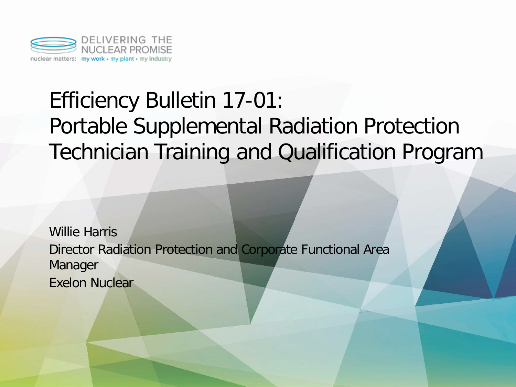

## Efficiency Bulletin 17-01: Portable Supplemental Radiation Protection Technician Training and Qualification Program

Willie Harris Director Radiation Protection and Corporate Functional Area Manager Exelon Nuclear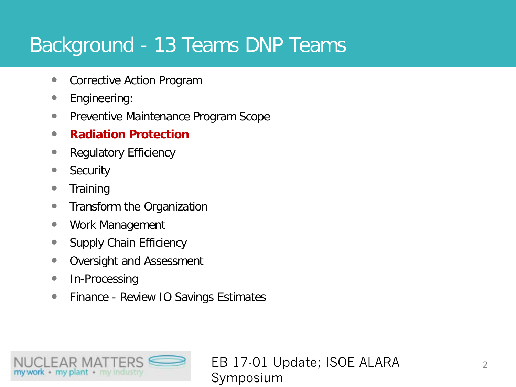#### Background - 13 Teams DNP Teams

- Corrective Action Program
- **•** Engineering:
- **Preventive Maintenance Program Scope**
- **Radiation Protection**
- Regulatory Efficiency
- Security
- Training
- Transform the Organization
- Work Management
- Supply Chain Efficiency
- **Oversight and Assessment**
- In-Processing
- **•** Finance Review IO Savings Estimates

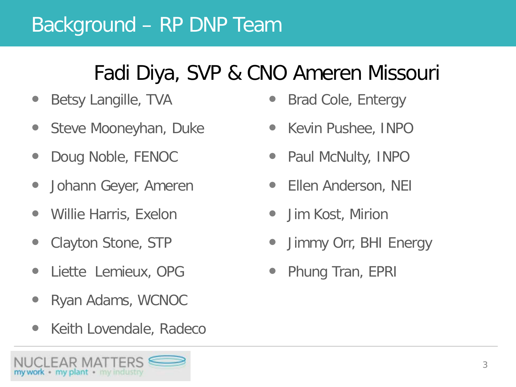#### Background – RP DNP Team

### Fadi Diya, SVP & CNO Ameren Missouri

- Betsy Langille, TVA
- Steve Mooneyhan, Duke
- Doug Noble, FENOC
- Johann Geyer, Ameren
- Willie Harris, Exelon
- Clayton Stone, STP
- Liette Lemieux, OPG
- Ryan Adams, WCNOC
- Keith Lovendale, Radeco



- Brad Cole, Entergy
- Kevin Pushee, INPO
- Paul McNulty, INPO
- Ellen Anderson, NEI
- Jim Kost, Mirion
- Jimmy Orr, BHI Energy
- Phung Tran, EPRI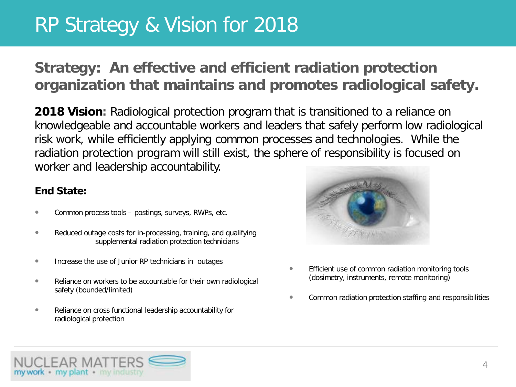#### RP Strategy & Vision for 2018

#### **Strategy: An effective and efficient radiation protection organization that maintains and promotes radiological safety.**

**2018 Vision:** Radiological protection program that is transitioned to a reliance on knowledgeable and accountable workers and leaders that safely perform low radiological risk work, while efficiently applying common processes and technologies. While the radiation protection program will still exist, the sphere of responsibility is focused on worker and leadership accountability.

#### **End State:**

- Common process tools postings, surveys, RWPs, etc.
- Reduced outage costs for in-processing, training, and qualifying supplemental radiation protection technicians
- Increase the use of Junior RP technicians in outages
- Reliance on workers to be accountable for their own radiological safety (bounded/limited)
- **Reliance on cross functional leadership accountability for** radiological protection



- Efficient use of common radiation monitoring tools (dosimetry, instruments, remote monitoring)
- **•** Common radiation protection staffing and responsibilities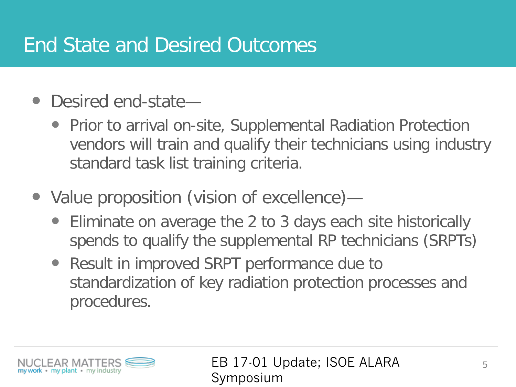#### End State and Desired Outcomes

- Desired end-state—
	- Prior to arrival on-site, Supplemental Radiation Protection vendors will train and qualify their technicians using industry standard task list training criteria.
- Value proposition (vision of excellence)-
	- Eliminate on average the 2 to 3 days each site historically spends to qualify the supplemental RP technicians (SRPTs)
	- Result in improved SRPT performance due to standardization of key radiation protection processes and procedures.

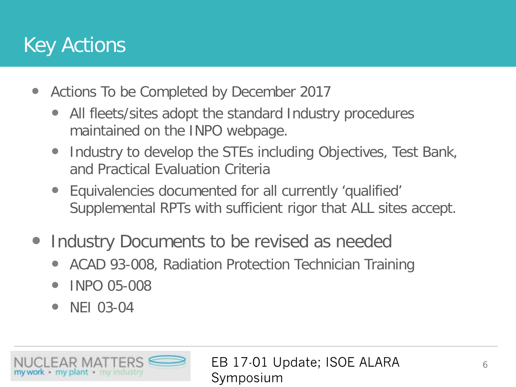#### Key Actions

- Actions To be Completed by December 2017
	- All fleets/sites adopt the standard Industry procedures maintained on the INPO webpage.
	- Industry to develop the STEs including Objectives, Test Bank, and Practical Evaluation Criteria
	- Equivalencies documented for all currently 'qualified' Supplemental RPTs with sufficient rigor that ALL sites accept.
- Industry Documents to be revised as needed
	- ACAD 93-008, Radiation Protection Technician Training
	- $\bullet$  INPO 05-008
	- NEI 03-04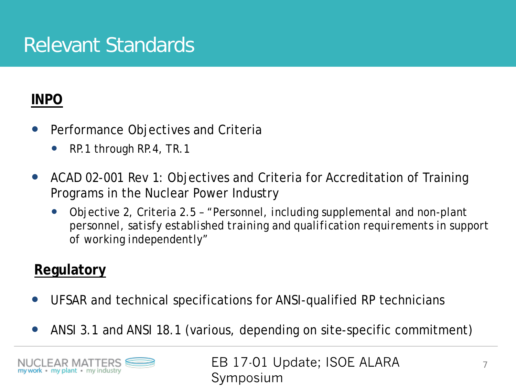#### Relevant Standards

#### **INPO**

- Performance Objectives and Criteria
	- RP.1 through RP.4, TR.1
- ACAD 02-001 Rev 1: Objectives and Criteria for Accreditation of Training Programs in the Nuclear Power Industry
	- Objective 2, Criteria 2.5 *"Personnel, including supplemental and non-plant personnel, satisfy established training and qualification requirements in support of working independently"*

#### **Regulatory**

- UFSAR and technical specifications for ANSI-qualified RP technicians
- ANSI 3.1 and ANSI 18.1 (various, depending on site-specific commitment)

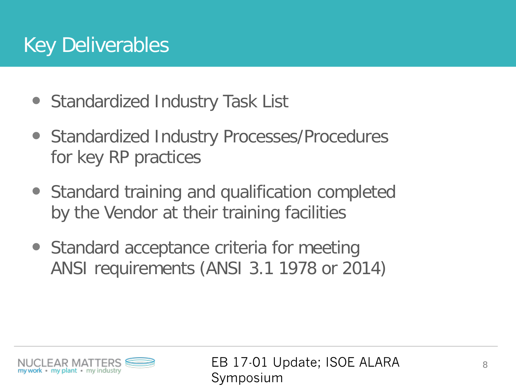### Key Deliverables

- Standardized Industry Task List
- Standardized Industry Processes/Procedures for key RP practices
- Standard training and qualification completed by the Vendor at their training facilities
- Standard acceptance criteria for meeting ANSI requirements (ANSI 3.1 1978 or 2014)

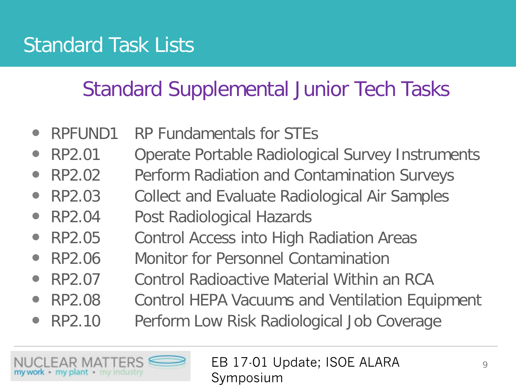### Standard Task Lists

#### Standard Supplemental Junior Tech Tasks

- RPFUND1 RP Fundamentals for STEs
- RP2.01 Operate Portable Radiological Survey Instruments
- RP2.02 Perform Radiation and Contamination Surveys
- RP2.03 Collect and Evaluate Radiological Air Samples
- RP2.04 Post Radiological Hazards
- RP2.05 Control Access into High Radiation Areas
- RP2.06 Monitor for Personnel Contamination
- RP2.07 Control Radioactive Material Within an RCA
- RP2.08 Control HEPA Vacuums and Ventilation Equipment
- RP2.10 Perform Low Risk Radiological Job Coverage

my plant • my industry

EB 17-01 Update; ISOE ALARA  $\frac{9}{9}$ Symposium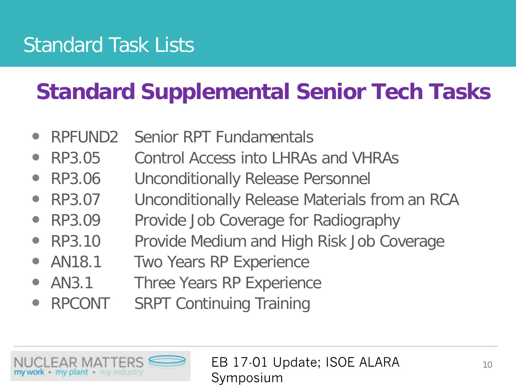### Standard Task Lists

## **Standard Supplemental Senior Tech Tasks**

- RPFUND2 Senior RPT Fundamentals
- RP3.05 Control Access into LHRAs and VHRAs
- RP3.06 Unconditionally Release Personnel
- RP3.07 Unconditionally Release Materials from an RCA
- RP3.09 Provide Job Coverage for Radiography
- RP3.10 Provide Medium and High Risk Job Coverage
- AN18.1 Two Years RP Experience
- AN3.1 Three Years RP Experience
- RPCONT SRPT Continuing Training

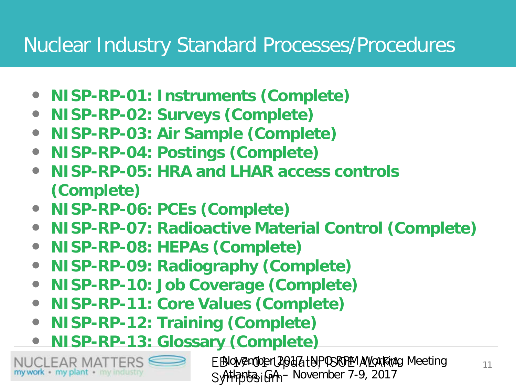#### Nuclear Industry Standard Processes/Procedures

- **NISP-RP-01: Instruments (Complete)**
- **NISP-RP-02: Surveys (Complete)**
- **NISP-RP-03: Air Sample (Complete)**
- **NISP-RP-04: Postings (Complete)**
- **NISP-RP-05: HRA and LHAR access controls (Complete)**
- **NISP-RP-06: PCEs (Complete)**
- **NISP-RP-07: Radioactive Material Control (Complete)**
- **NISP-RP-08: HEPAs (Complete)**
- **NISP-RP-09: Radiography (Complete)**
- **NISP-RP-10: Job Coverage (Complete)**
- **NISP-RP-11: Core Values (Complete)**
- **NISP-RP-12: Training (Complete)**
- **NISP-RP-13: Glossary (Complete)**

my work - my plant · my industry

EBNOW ZEMODER LANGA EN POSITION AV LOCARA PORTUITS AND THE REAL TERM OF THE REAL TERM OF THE REAL TERM OF THE SyttpytsiGA- November 7-9, 2017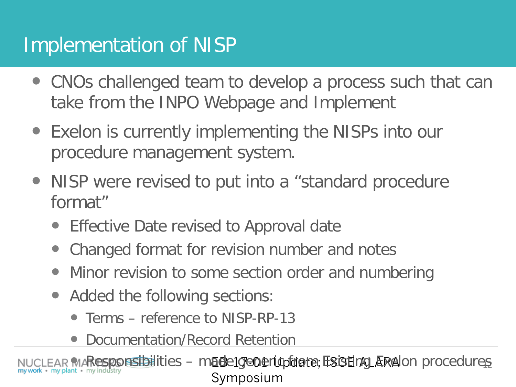#### Implementation of NISP

- CNOs challenged team to develop a process such that can take from the INPO Webpage and Implement
- Exelon is currently implementing the NISPs into our procedure management system.
- NISP were revised to put into a "standard procedure format"
	- Effective Date revised to Approval date
	- Changed format for revision number and notes
	- Minor revision to some section order and numbering
	- Added the following sections:
		- Terms reference to NISP-RP-13
		- Documentation/Record Retention

MAResponsibilities - macelgeOerlopdate; ESOEnQLARA Ion procedures Symposium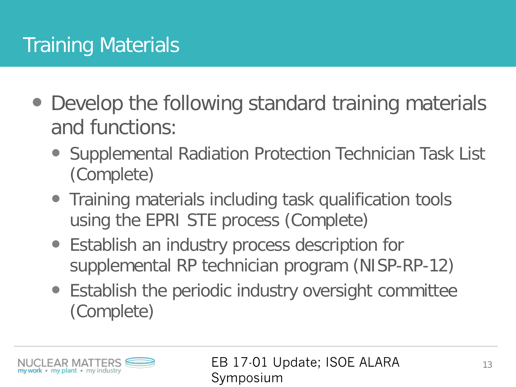## Training Materials

- Develop the following standard training materials and functions:
	- Supplemental Radiation Protection Technician Task List (Complete)
	- Training materials including task qualification tools using the EPRI STE process (Complete)
	- Establish an industry process description for supplemental RP technician program (NISP-RP-12)
	- Establish the periodic industry oversight committee (Complete)

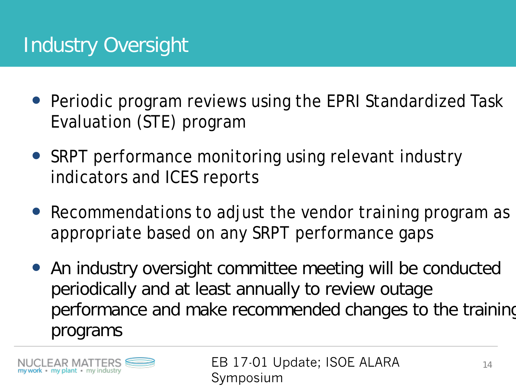### Industry Oversight

- Periodic program reviews using the EPRI Standardized Task Evaluation (STE) program
- SRPT performance monitoring using relevant industry indicators and ICES reports
- Recommendations to adjust the vendor training program as appropriate based on any SRPT performance gaps
- An industry oversight committee meeting will be conducted periodically and at least annually to review outage performance and make recommended changes to the training programs

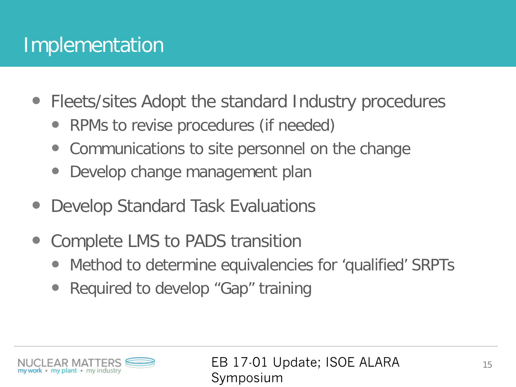#### Implementation

- Fleets/sites Adopt the standard Industry procedures
	- RPMs to revise procedures (if needed)
	- Communications to site personnel on the change
	- Develop change management plan
- Develop Standard Task Evaluations
- Complete LMS to PADS transition
	- Method to determine equivalencies for 'qualified' SRPTs
	- Required to develop "Gap" training

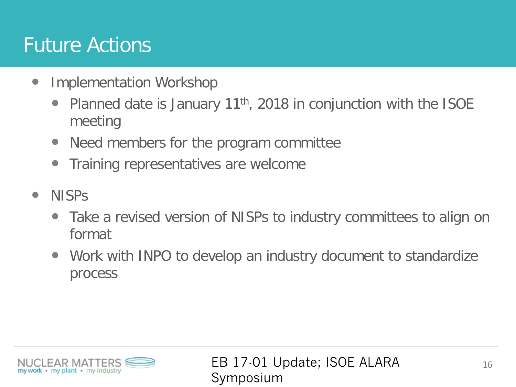#### Future Actions

- Implementation Workshop
	- Planned date is January 11<sup>th</sup>, 2018 in conjunction with the ISOE meeting
	- Need members for the program committee
	- Training representatives are welcome
- NISPS
	- Take a revised version of NISPs to industry committees to align on format
	- Work with INPO to develop an industry document to standardize process